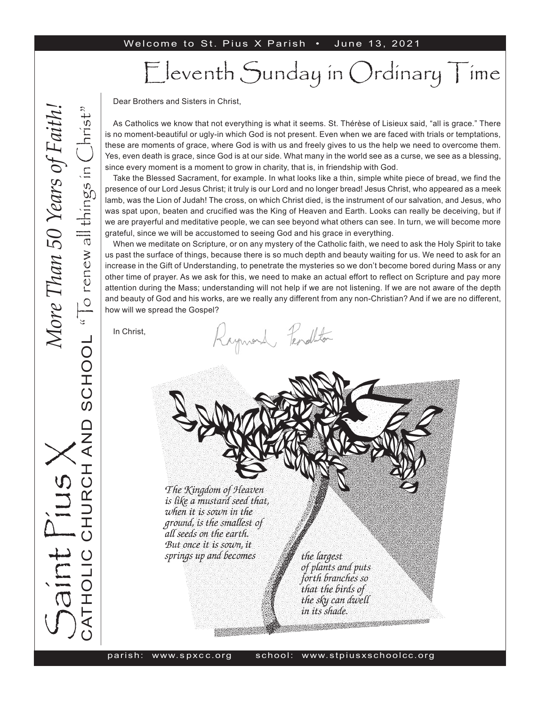#### Welcome to St. Pius X Parish . June 13, 2021

# Eleventh Sunday in Ordinary Time

Dear Brothers and Sisters in Christ,

As Catholics we know that not everything is what it seems. St. Thérèse of Lisieux said, "all is grace." There is no moment-beautiful or ugly-in which God is not present. Even when we are faced with trials or temptations, these are moments of grace, where God is with us and freely gives to us the help we need to overcome them. Yes, even death is grace, since God is at our side. What many in the world see as a curse, we see as a blessing, since every moment is a moment to grow in charity, that is, in friendship with God.

Take the Blessed Sacrament, for example. In what looks like a thin, simple white piece of bread, we find the presence of our Lord Jesus Christ; it truly is our Lord and no longer bread! Jesus Christ, who appeared as a meek lamb, was the Lion of Judah! The cross, on which Christ died, is the instrument of our salvation, and Jesus, who was spat upon, beaten and crucified was the King of Heaven and Earth. Looks can really be deceiving, but if we are prayerful and meditative people, we can see beyond what others can see. In turn, we will become more grateful, since we will be accustomed to seeing God and his grace in everything.

When we meditate on Scripture, or on any mystery of the Catholic faith, we need to ask the Holy Spirit to take us past the surface of things, because there is so much depth and beauty waiting for us. We need to ask for an increase in the Gift of Understanding, to penetrate the mysteries so we don't become bored during Mass or any other time of prayer. As we ask for this, we need to make an actual effort to reflect on Scripture and pay more attention during the Mass; understanding will not help if we are not listening. If we are not aware of the depth and beauty of God and his works, are we really any different from any non-Christian? And if we are no different, how will we spread the Gospel?

Raymond Fenallton

In Christ,

The Kingdom of Heaven is like a mustard seed that, when it is sown in the ground, is the smallest of all seeds on the earth. But once it is sown, it springs up and becomes

the largest of plants and puts forth branches so that the birds of the sky can dwell in its shade.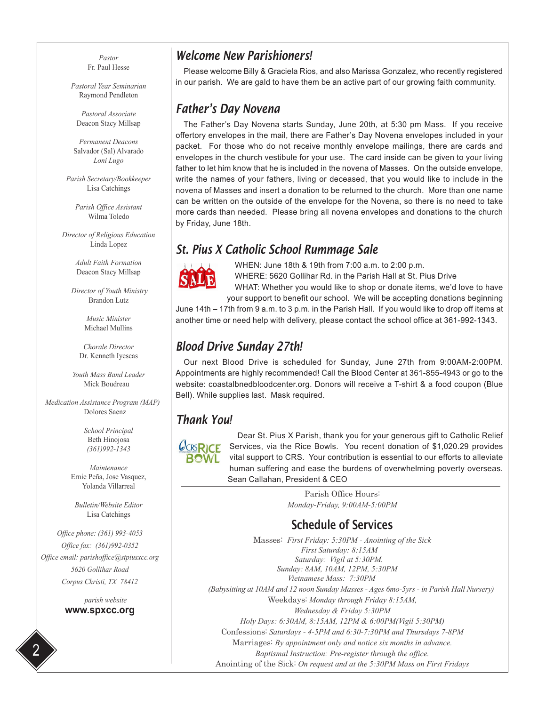*Pastor* Fr. Paul Hesse

*Pastoral Year Seminarian* Raymond Pendleton

*Pastoral Associate* Deacon Stacy Millsap

*Permanent Deacons* Salvador (Sal) Alvarado *Loni Lugo*

*Parish Secretary/Bookkeeper* Lisa Catchings

*Parish Office Assistant* Wilma Toledo

*Director of Religious Education* Linda Lopez

> *Adult Faith Formation* Deacon Stacy Millsap

 *Director of Youth Ministry* Brandon Lutz

> *Music Minister* Michael Mullins

*Chorale Director* Dr. Kenneth Iyescas

*Youth Mass Band Leader* Mick Boudreau

 *Medication Assistance Program (MAP)* Dolores Saenz

> *School Principal* Beth Hinojosa *(361)992-1343*

*Maintenance* Ernie Peña, Jose Vasquez, Yolanda Villarreal

*Bulletin/Website Editor* Lisa Catchings

*Office phone: (361) 993-4053 Office fax: (361)992-0352 Office email: parishoffice@stpiusxcc.org 5620 Gollihar Road Corpus Christi, TX 78412*

> *parish website* **www.spxcc.org**

2

#### *Welcome New Parishioners!*

Please welcome Billy & Graciela Rios, and also Marissa Gonzalez, who recently registered in our parish. We are gald to have them be an active part of our growing faith community.

#### *Father's Day Novena*

The Father's Day Novena starts Sunday, June 20th, at 5:30 pm Mass. If you receive offertory envelopes in the mail, there are Father's Day Novena envelopes included in your packet. For those who do not receive monthly envelope mailings, there are cards and envelopes in the church vestibule for your use. The card inside can be given to your living father to let him know that he is included in the novena of Masses. On the outside envelope, write the names of your fathers, living or deceased, that you would like to include in the novena of Masses and insert a donation to be returned to the church. More than one name can be written on the outside of the envelope for the Novena, so there is no need to take more cards than needed. Please bring all novena envelopes and donations to the church by Friday, June 18th.

#### *St. Pius X Catholic School Rummage Sale*



WHEN: June 18th & 19th from 7:00 a.m. to 2:00 p.m. WHERE: 5620 Gollihar Rd. in the Parish Hall at St. Pius Drive

WHAT: Whether you would like to shop or donate items, we'd love to have your support to benefit our school. We will be accepting donations beginning June 14th – 17th from 9 a.m. to 3 p.m. in the Parish Hall. If you would like to drop off items at

another time or need help with delivery, please contact the school office at 361-992-1343.

## *Blood Drive Sunday 27th!*

Our next Blood Drive is scheduled for Sunday, June 27th from 9:00AM-2:00PM. Appointments are highly recommended! Call the Blood Center at 361-855-4943 or go to the website: coastalbnedbloodcenter.org. Donors will receive a T-shirt & a food coupon (Blue Bell). While supplies last. Mask required.

#### *Thank You!*



Dear St. Pius X Parish, thank you for your generous gift to Catholic Relief Services, via the Rice Bowls. You recent donation of \$1,020.29 provides vital support to CRS. Your contribution is essential to our efforts to alleviate human suffering and ease the burdens of overwhelming poverty overseas. Sean Callahan, President & CEO

> Parish Office Hours: *Monday-Friday, 9:00AM-5:00PM*

## Schedule of Services

Masses: *First Friday: 5:30PM - Anointing of the Sick First Saturday: 8:15AM Saturday: Vigil at 5:30PM. Sunday: 8AM, 10AM, 12PM, 5:30PM Vietnamese Mass: 7:30PM (Babysitting at 10AM and 12 noon Sunday Masses - Ages 6mo-5yrs - in Parish Hall Nursery)* Weekdays: *Monday through Friday 8:15AM, Wednesday & Friday 5:30PM Holy Days: 6:30AM, 8:15AM, 12PM & 6:00PM(Vigil 5:30PM)* Confessions: *Saturdays - 4-5PM and 6:30-7:30PM and Thursdays 7-8PM* Marriages: *By appointment only and notice six months in advance. Baptismal Instruction: Pre-register through the office.* Anointing of the Sick: *On request and at the 5:30PM Mass on First Fridays*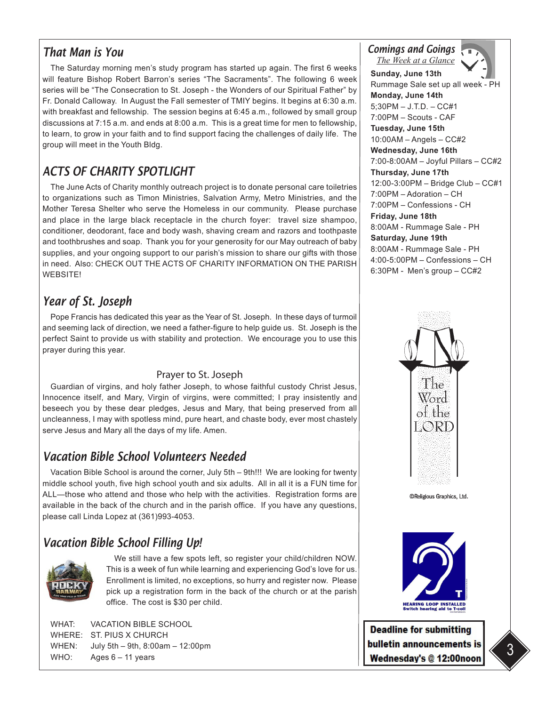### *That Man is You*

The Saturday morning men's study program has started up again. The first 6 weeks will feature Bishop Robert Barron's series "The Sacraments". The following 6 week series will be "The Consecration to St. Joseph - the Wonders of our Spiritual Father" by Fr. Donald Calloway. In August the Fall semester of TMIY begins. It begins at 6:30 a.m. with breakfast and fellowship. The session begins at 6:45 a.m., followed by small group discussions at 7:15 a.m. and ends at 8:00 a.m. This is a great time for men to fellowship, to learn, to grow in your faith and to find support facing the challenges of daily life. The group will meet in the Youth Bldg.

# *ACTS OF CHARITY SPOTLIGHT*

The June Acts of Charity monthly outreach project is to donate personal care toiletries to organizations such as Timon Ministries, Salvation Army, Metro Ministries, and the Mother Teresa Shelter who serve the Homeless in our community. Please purchase and place in the large black receptacle in the church foyer: travel size shampoo, conditioner, deodorant, face and body wash, shaving cream and razors and toothpaste and toothbrushes and soap. Thank you for your generosity for our May outreach of baby supplies, and your ongoing support to our parish's mission to share our gifts with those in need. Also: CHECK OUT THE ACTS OF CHARITY INFORMATION ON THE PARISH WEBSITE!

# *Year of St. Joseph*

Pope Francis has dedicated this year as the Year of St. Joseph. In these days of turmoil and seeming lack of direction, we need a father-figure to help guide us. St. Joseph is the perfect Saint to provide us with stability and protection. We encourage you to use this prayer during this year.

#### Prayer to St. Joseph

Guardian of virgins, and holy father Joseph, to whose faithful custody Christ Jesus, Innocence itself, and Mary, Virgin of virgins, were committed; I pray insistently and beseech you by these dear pledges, Jesus and Mary, that being preserved from all uncleanness, I may with spotless mind, pure heart, and chaste body, ever most chastely serve Jesus and Mary all the days of my life. Amen.

# *Vacation Bible School Volunteers Needed*

Vacation Bible School is around the corner, July 5th – 9th!!! We are looking for twenty middle school youth, five high school youth and six adults. All in all it is a FUN time for ALL—those who attend and those who help with the activities. Registration forms are available in the back of the church and in the parish office. If you have any questions, please call Linda Lopez at (361)993-4053.

# *Vacation Bible School Filling Up!*



We still have a few spots left, so register your child/children NOW. This is a week of fun while learning and experiencing God's love for us. Enrollment is limited, no exceptions, so hurry and register now. Please pick up a registration form in the back of the church or at the parish office. The cost is \$30 per child.

WHAT: VACATION BIBLE SCHOOL WHERE: ST. PIUS X CHURCH WHEN: July 5th – 9th, 8:00am – 12:00pm WHO: Ages 6 – 11 years

*Comings and Goings*



**Sunday, June 13th** Rummage Sale set up all week - PH **Monday, June 14th**  5;30PM – J.T.D. – CC#1 7:00PM – Scouts - CAF **Tuesday, June 15th**  10:00AM – Angels – CC#2 **Wednesday, June 16th** 7:00-8:00AM – Joyful Pillars – CC#2 **Thursday, June 17th**  12:00-3:00PM – Bridge Club – CC#1 7:00PM – Adoration – CH 7:00PM – Confessions - CH **Friday, June 18th** 8:00AM - Rummage Sale - PH **Saturday, June 19th**  8:00AM - Rummage Sale - PH 4:00-5:00PM – Confessions – CH 6:30PM - Men's group – CC#2



©Religious Graphics, Ltd.



**Deadline for submitting** bulletin announcements is Wednesday's @ 12:00noon